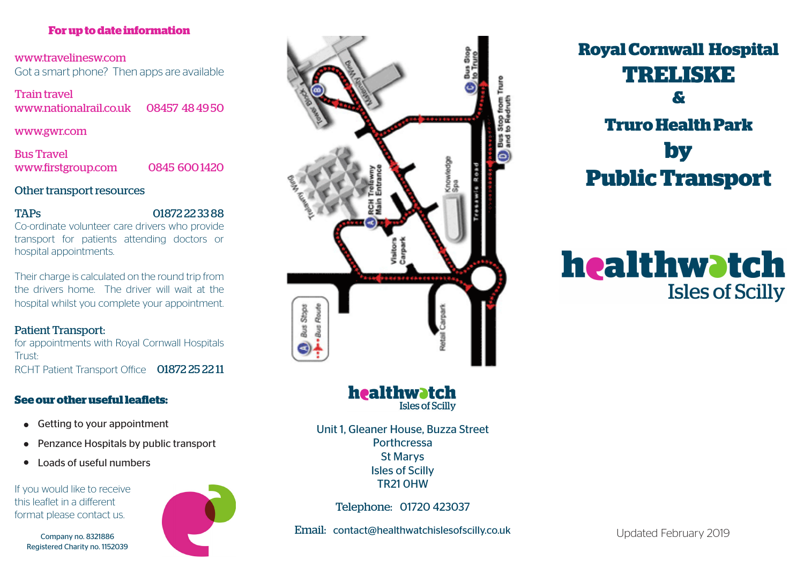## **For up to date information**

www.travelinesw.com Got a smart phone? Then apps are available

Train travel www.nationalrail.co.uk 08457 48 49 50

### www.gwr.com

Bus Travel www.firstgroup.com 0845 600 1420

## Other transport resources

TAPs 01872 22 33 88

Co-ordinate volunteer care drivers who provide transport for patients attending doctors or hospital appointments.

Their charge is calculated on the round trip from the drivers home. The driver will wait at the hospital whilst you complete your appointment.

## Patient Transport:

for appointments with Royal Cornwall Hospitals Trust: RCHT Patient Transport Office 01872 25 22 11

# **See our other useful leaflets:**

- Getting to your appointment
- Penzance Hospitals by public transport
- $\bullet$ Loads of useful numbers

If you would like to receive this leaflet in a different format please contact us.

Company no. 8321886 Registered Charity no. 1152039





**Royal Cornwall Hospital TRELISKE & Truro Health Park by Public Transport**

# healthwatch **Isles of Scilly**

healthwatch **Isles of Scilly** 

Unit 1, Gleaner House, Buzza Street Porthcressa St Marys Isles of Scilly TR21 0HW

Telephone: 01720 423037

Email: contact@healthwatchislesofscilly.co.uk

Updated February 2019